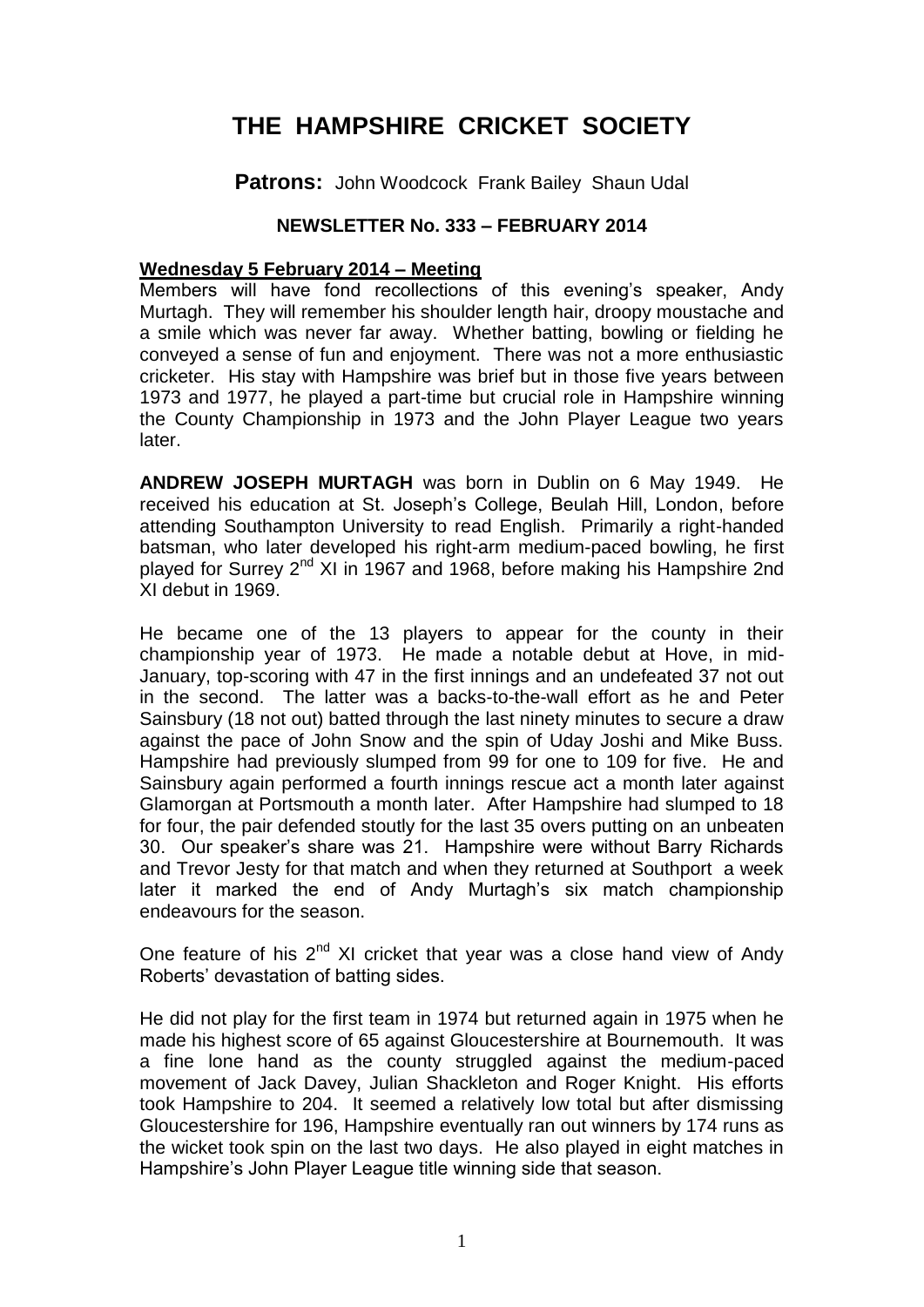# **THE HAMPSHIRE CRICKET SOCIETY**

**Patrons:** John Woodcock Frank Bailey Shaun Udal

# **NEWSLETTER No. 333 – FEBRUARY 2014**

#### **Wednesday 5 February 2014 – Meeting**

Members will have fond recollections of this evening's speaker, Andy Murtagh. They will remember his shoulder length hair, droopy moustache and a smile which was never far away. Whether batting, bowling or fielding he conveyed a sense of fun and enjoyment. There was not a more enthusiastic cricketer. His stay with Hampshire was brief but in those five years between 1973 and 1977, he played a part-time but crucial role in Hampshire winning the County Championship in 1973 and the John Player League two years later.

**ANDREW JOSEPH MURTAGH** was born in Dublin on 6 May 1949. He received his education at St. Joseph's College, Beulah Hill, London, before attending Southampton University to read English. Primarily a right-handed batsman, who later developed his right-arm medium-paced bowling, he first played for Surrey 2<sup>nd</sup> XI in 1967 and 1968, before making his Hampshire 2nd XI debut in 1969.

He became one of the 13 players to appear for the county in their championship year of 1973. He made a notable debut at Hove, in mid-January, top-scoring with 47 in the first innings and an undefeated 37 not out in the second. The latter was a backs-to-the-wall effort as he and Peter Sainsbury (18 not out) batted through the last ninety minutes to secure a draw against the pace of John Snow and the spin of Uday Joshi and Mike Buss. Hampshire had previously slumped from 99 for one to 109 for five. He and Sainsbury again performed a fourth innings rescue act a month later against Glamorgan at Portsmouth a month later. After Hampshire had slumped to 18 for four, the pair defended stoutly for the last 35 overs putting on an unbeaten 30. Our speaker's share was 21. Hampshire were without Barry Richards and Trevor Jesty for that match and when they returned at Southport a week later it marked the end of Andy Murtagh's six match championship endeavours for the season.

One feature of his  $2^{nd}$  XI cricket that year was a close hand view of Andy Roberts' devastation of batting sides.

He did not play for the first team in 1974 but returned again in 1975 when he made his highest score of 65 against Gloucestershire at Bournemouth. It was a fine lone hand as the county struggled against the medium-paced movement of Jack Davey, Julian Shackleton and Roger Knight. His efforts took Hampshire to 204. It seemed a relatively low total but after dismissing Gloucestershire for 196, Hampshire eventually ran out winners by 174 runs as the wicket took spin on the last two days. He also played in eight matches in Hampshire's John Player League title winning side that season.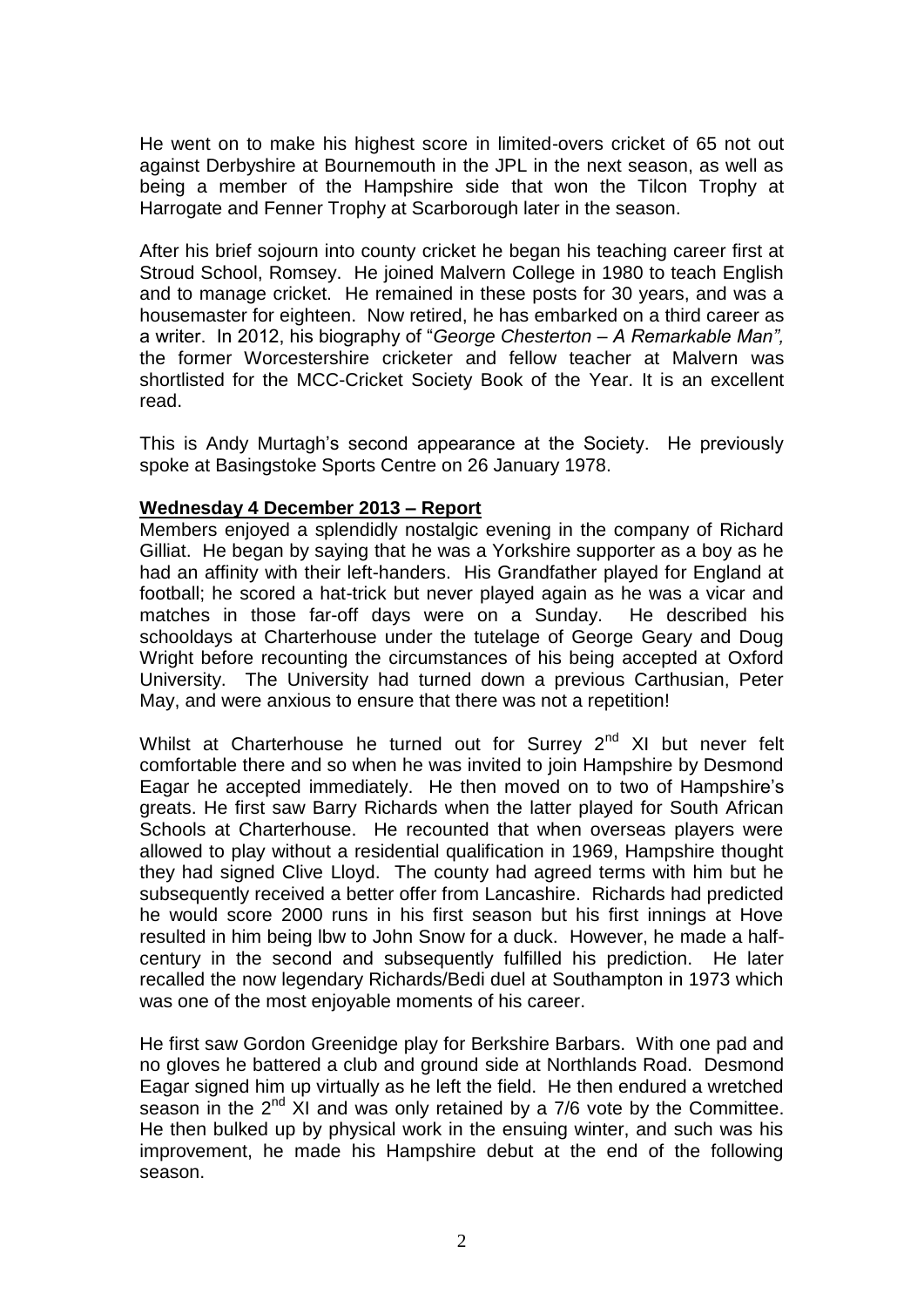He went on to make his highest score in limited-overs cricket of 65 not out against Derbyshire at Bournemouth in the JPL in the next season, as well as being a member of the Hampshire side that won the Tilcon Trophy at Harrogate and Fenner Trophy at Scarborough later in the season.

After his brief sojourn into county cricket he began his teaching career first at Stroud School, Romsey. He joined Malvern College in 1980 to teach English and to manage cricket. He remained in these posts for 30 years, and was a housemaster for eighteen. Now retired, he has embarked on a third career as a writer. In 2012, his biography of "*George Chesterton – A Remarkable Man",*  the former Worcestershire cricketer and fellow teacher at Malvern was shortlisted for the MCC-Cricket Society Book of the Year. It is an excellent read.

This is Andy Murtagh's second appearance at the Society. He previously spoke at Basingstoke Sports Centre on 26 January 1978.

### **Wednesday 4 December 2013 – Report**

Members enjoyed a splendidly nostalgic evening in the company of Richard Gilliat. He began by saying that he was a Yorkshire supporter as a boy as he had an affinity with their left-handers. His Grandfather played for England at football; he scored a hat-trick but never played again as he was a vicar and matches in those far-off days were on a Sunday. He described his schooldays at Charterhouse under the tutelage of George Geary and Doug Wright before recounting the circumstances of his being accepted at Oxford University. The University had turned down a previous Carthusian, Peter May, and were anxious to ensure that there was not a repetition!

Whilst at Charterhouse he turned out for Surrey 2<sup>nd</sup> XI but never felt comfortable there and so when he was invited to join Hampshire by Desmond Eagar he accepted immediately. He then moved on to two of Hampshire's greats. He first saw Barry Richards when the latter played for South African Schools at Charterhouse. He recounted that when overseas players were allowed to play without a residential qualification in 1969, Hampshire thought they had signed Clive Lloyd. The county had agreed terms with him but he subsequently received a better offer from Lancashire. Richards had predicted he would score 2000 runs in his first season but his first innings at Hove resulted in him being lbw to John Snow for a duck. However, he made a halfcentury in the second and subsequently fulfilled his prediction. He later recalled the now legendary Richards/Bedi duel at Southampton in 1973 which was one of the most enjoyable moments of his career.

He first saw Gordon Greenidge play for Berkshire Barbars. With one pad and no gloves he battered a club and ground side at Northlands Road. Desmond Eagar signed him up virtually as he left the field. He then endured a wretched season in the  $2^{nd}$  XI and was only retained by a 7/6 vote by the Committee. He then bulked up by physical work in the ensuing winter, and such was his improvement, he made his Hampshire debut at the end of the following season.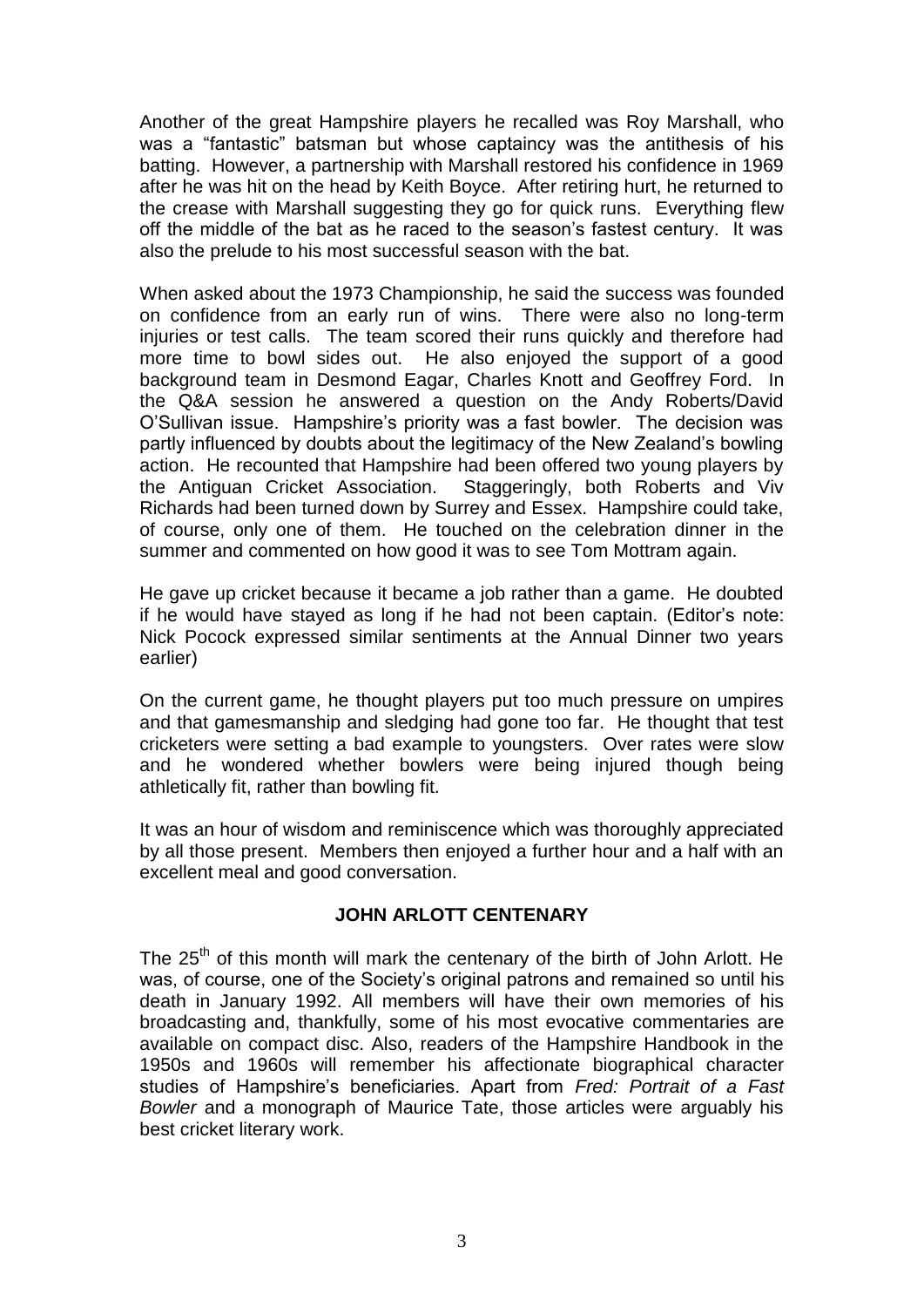Another of the great Hampshire players he recalled was Roy Marshall, who was a "fantastic" batsman but whose captaincy was the antithesis of his batting. However, a partnership with Marshall restored his confidence in 1969 after he was hit on the head by Keith Boyce. After retiring hurt, he returned to the crease with Marshall suggesting they go for quick runs. Everything flew off the middle of the bat as he raced to the season's fastest century. It was also the prelude to his most successful season with the bat.

When asked about the 1973 Championship, he said the success was founded on confidence from an early run of wins. There were also no long-term injuries or test calls. The team scored their runs quickly and therefore had more time to bowl sides out. He also enjoyed the support of a good background team in Desmond Eagar, Charles Knott and Geoffrey Ford. In the Q&A session he answered a question on the Andy Roberts/David O'Sullivan issue. Hampshire's priority was a fast bowler. The decision was partly influenced by doubts about the legitimacy of the New Zealand's bowling action. He recounted that Hampshire had been offered two young players by the Antiguan Cricket Association. Staggeringly, both Roberts and Viv Richards had been turned down by Surrey and Essex. Hampshire could take, of course, only one of them. He touched on the celebration dinner in the summer and commented on how good it was to see Tom Mottram again.

He gave up cricket because it became a job rather than a game. He doubted if he would have stayed as long if he had not been captain. (Editor's note: Nick Pocock expressed similar sentiments at the Annual Dinner two years earlier)

On the current game, he thought players put too much pressure on umpires and that gamesmanship and sledging had gone too far. He thought that test cricketers were setting a bad example to youngsters. Over rates were slow and he wondered whether bowlers were being injured though being athletically fit, rather than bowling fit.

It was an hour of wisdom and reminiscence which was thoroughly appreciated by all those present. Members then enjoyed a further hour and a half with an excellent meal and good conversation.

### **JOHN ARLOTT CENTENARY**

The 25<sup>th</sup> of this month will mark the centenary of the birth of John Arlott. He was, of course, one of the Society's original patrons and remained so until his death in January 1992. All members will have their own memories of his broadcasting and, thankfully, some of his most evocative commentaries are available on compact disc. Also, readers of the Hampshire Handbook in the 1950s and 1960s will remember his affectionate biographical character studies of Hampshire's beneficiaries. Apart from *Fred: Portrait of a Fast Bowler* and a monograph of Maurice Tate, those articles were arguably his best cricket literary work.